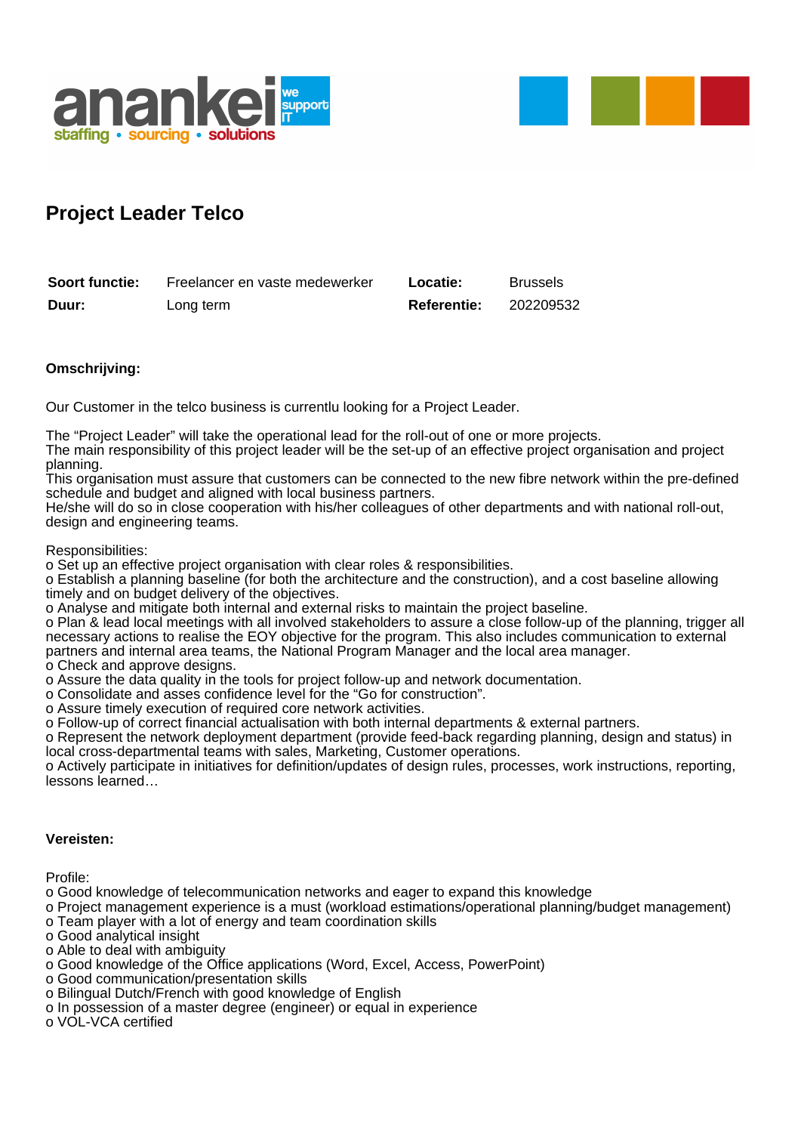



## **Project Leader Telco**

| Soort functie: | Freelancer en vaste medewerker | <b>Locatie:</b>    | <b>Brussels</b> |
|----------------|--------------------------------|--------------------|-----------------|
| Duur:          | Long term                      | <b>Referentie:</b> | 202209532       |

## **Omschrijving:**

Our Customer in the telco business is currentlu looking for a Project Leader.

The "Project Leader" will take the operational lead for the roll-out of one or more projects.

The main responsibility of this project leader will be the set-up of an effective project organisation and project planning.

This organisation must assure that customers can be connected to the new fibre network within the pre-defined schedule and budget and aligned with local business partners.

He/she will do so in close cooperation with his/her colleagues of other departments and with national roll-out, design and engineering teams.

Responsibilities:

o Set up an effective project organisation with clear roles & responsibilities.

o Establish a planning baseline (for both the architecture and the construction), and a cost baseline allowing timely and on budget delivery of the objectives.

o Analyse and mitigate both internal and external risks to maintain the project baseline.

o Plan & lead local meetings with all involved stakeholders to assure a close follow-up of the planning, trigger all necessary actions to realise the EOY objective for the program. This also includes communication to external partners and internal area teams, the National Program Manager and the local area manager.

o Check and approve designs.

o Assure the data quality in the tools for project follow-up and network documentation.

o Consolidate and asses confidence level for the "Go for construction".

o Assure timely execution of required core network activities.

o Follow-up of correct financial actualisation with both internal departments & external partners.

o Represent the network deployment department (provide feed-back regarding planning, design and status) in local cross-departmental teams with sales, Marketing, Customer operations.

o Actively participate in initiatives for definition/updates of design rules, processes, work instructions, reporting, lessons learned…

## **Vereisten:**

Profile:

o Good knowledge of telecommunication networks and eager to expand this knowledge

o Project management experience is a must (workload estimations/operational planning/budget management)

- o Team player with a lot of energy and team coordination skills
- o Good analytical insight

o Able to deal with ambiguity

- o Good knowledge of the Office applications (Word, Excel, Access, PowerPoint)
- o Good communication/presentation skills
- o Bilingual Dutch/French with good knowledge of English
- o In possession of a master degree (engineer) or equal in experience

o VOL-VCA certified